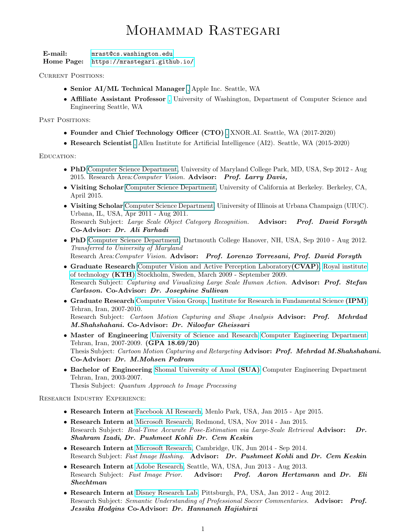## MOHAMMAD RASTEGARI

E-mail: <mrast@cs.washington.edu> Home Page: <https://mrastegari.github.io/>

CURRENT POSITIONS:

- Senior AI/ML Technical Manager , Apple Inc. Seattle, WA
- Affiliate Assistant Professor [,](www.cs.washington.edu) University of Washington, Department of Computer Science and Engineering Seattle, WA

PAST POSITIONS:

- Founder and Chief Technology Officer (CTO) , XNOR.AI. Seattle, WA (2017-2020)
- Research Scientist , Allen Institute for Artificial Intelligence (AI2). Seattle, WA (2015-2020)

EDUCATION:

- PhD Computer Science Department, University of Maryland College Park, MD, USA, Sep 2012 Aug 2015. Research Area: Computer Vision. Advisor: Prof. Larry Davis,
- Visiting Scholar Computer Science Department, University of California at Berkeley. Berkeley, CA, April 2015.
- Visiting Scholar Computer Science Department, Uiniversity of Illinois at Urbana Champaign (UIUC). Urbana, IL, USA, Apr 2011 - Aug 2011.
	- Research Subject: Large Scale Object Category Recognition. Advisor: Prof. David Forsyth Co-Advisor: Dr. Ali Farhadi
- PhD Computer Science Department, Dartmouth College Hanover, NH, USA, Sep 2010 Aug 2012. Transferred to University of Maryland Research Area: Computer Vision. Advisor: Prof. Lorenzo Torresani, Prof. David Forsyth
- Graduate Research Computer Vision and Active Perception Laboratory(CVAP), [Royal institute](www.kth.se) [of technology](www.kth.se) (KTH) Stockholm, Sweden, March 2009 - September 2009. Research Subject: Capturing and Visualizing Large Scale Human Action. Advisor: Prof. Stefan Carlsson. Co-Advisor: Dr. Josephine Sullivan
- Graduate Research [Computer Vision Group,](http://math.ipm.ac.ir/vision) [Institute for Research in Fundamental Science](www.im.ac.ir) (IPM) Tehran, Iran, 2007-2010. Research Subject: Cartoon Motion Capturing and Shape Analysis Advisor: Prof. Mehrdad M.Shahshahani. Co-Advisor: Dr. Niloofar Gheissari
- Master of Engineering [University of Science and Research](http://srbiau.ac.ir/english/) [Computer Engineering Department](www.computersr.com) Tehran, Iran, 2007-2009. (GPA 18.69/20) Thesis Subject: Cartoon Motion Capturing and Retargeting Advisor: Prof. Mehrdad M.Shahshahani. Co-Advisor: Dr. M.Mohsen Pedram
- Bachelor of Engineering [Shomal University of Amol](http://www.shomal.ac.ir/en/) (SUA) Computer Engineering Department Tehran, Iran, 2003-2007. Thesis Subject: Quantum Approach to Image Processing

Research Industry Experience:

- Research Intern at [Facebook AI Research,](https://research.facebook.com/ai) Menlo Park, USA, Jan 2015 Apr 2015.
- Research Intern at [Microsoft Research,](http://www.microsoft.com/) Redmond, USA, Nov 2014 Jan 2015. Research Subject: Real-Time Accurate Pose-Estimation via Large-Scale Retrieval Advisor: Dr. Shahram Izadi, Dr. Pushmeet Kohli Dr. Cem Keskin
- Research Intern at [Microsoft Research,](http://www.microsoft.com/) Cambridge, UK, Jun 2014 Sep 2014. Research Subject: Fast Image Hashing. Advisor: Dr. Pushmeet Kohli and Dr. Cem Keskin
- Research Intern at [Adobe Research,](http://www.adobe.com/) Seattle, WA, USA, Jun 2013 Aug 2013. Research Subject: Fast Image Prior. Advisor: Prof. Aaron Hertzmann and Dr. Eli Shechtman
- Research Intern at [Disney Research Lab,](http://www.disneyresearch.com/) Pittsburgh, PA, USA, Jan 2012 Aug 2012. Research Subject: Semantic Understanding of Professional Soccer Commentaries. Advisor: Prof. Jessika Hodgins Co-Advisor: Dr. Hannaneh Hajishirzi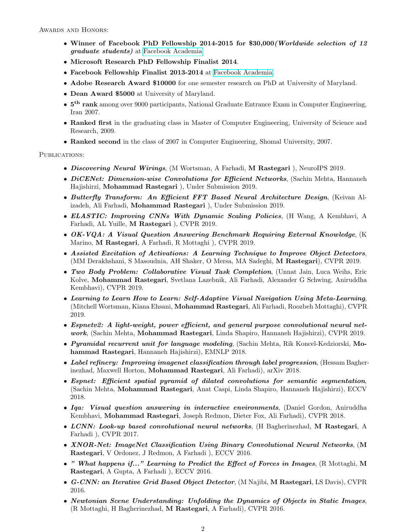AWARDS AND HONORS:

- Winner of Facebook PhD Fellowship 2014-2015 for \$30,000(Worldwide selection of 12 graduate students) at [Facebook Academia.](https://www.facebook.com/notes/facebook-fellowship-program/announcing-the-facebook-graduate-fellowship-2014-2015-winners/1516002375292350)
- Microsoft Research PhD Fellowship Finalist 2014.
- Facebook Fellowship Finalist 2013-2014 at [Facebook Academia.](https://www.facebook.com/notes/facebook-academics/announcing-the-2013-2014-facebook-graduate-fellows/514353405282738)
- Adobe Research Award \$10000 for one semester research on PhD at University of Maryland.
- Dean Award \$5000 at University of Maryland.
- 5<sup>th</sup> rank among over 9000 participants, National Graduate Entrance Exam in Computer Engineering, Iran 2007.
- Ranked first in the graduating class in Master of Computer Engineering, University of Science and Research, 2009.
- Ranked second in the class of 2007 in Computer Engineering, Shomal University, 2007.

PUBLICATIONS:

- Discovering Neural Wirings, (M Wortsman, A Farhadi, M Rastegari ), NeuroIPS 2019.
- DiCENet: Dimension-wise Convolutions for Efficient Networks, (Sachin Mehta, Hannaneh) Hajishirzi, Mohammad Rastegari ), Under Submission 2019.
- Butterfly Transform: An Efficient FFT Based Neural Architecture Design, (Keivan Alizadeh, Ali Farhadi, Mohammad Rastegari ), Under Submission 2019.
- ELASTIC: Improving CNNs With Dynamic Scaling Policies, (H Wang, A Kembhavi, A Farhadi, AL Yuille, M Rastegari ), CVPR 2019.
- OK-VQA: A Visual Question Answering Benchmark Requiring External Knowledge, (K) Marino, M Rastegari, A Farhadi, R Mottaghi ), CVPR 2019.
- Assisted Excitation of Activations: A Learning Technique to Improve Object Detectors, (MM Derakhshani, S Masoudnia, AH Shaker, O Mersa, MA Sadeghi, M Rastegari), CVPR 2019.
- Two Body Problem: Collaborative Visual Task Completion, (Unnat Jain, Luca Weihs, Eric Kolve, Mohammad Rastegari, Svetlana Lazebnik, Ali Farhadi, Alexander G Schwing, Aniruddha Kembhavi), CVPR 2019.
- Learning to Learn How to Learn: Self-Adaptive Visual Navigation Using Meta-Learning, (Mitchell Wortsman, Kiana Ehsani, Mohammad Rastegari, Ali Farhadi, Roozbeh Mottaghi), CVPR 2019.
- Espnetv2: A light-weight, power efficient, and general purpose convolutional neural network, (Sachin Mehta, Mohammad Rastegari, Linda Shapiro, Hannaneh Hajishirzi), CVPR 2019.
- Pyramidal recurrent unit for language modeling, (Sachin Mehta, Rik Koncel-Kedziorski, Mohammad Rastegari, Hannaneh Hajishirzi), EMNLP 2018.
- Label refinery: Improving imagenet classification through label progression, (Hessam Bagherinezhad, Maxwell Horton, Mohammad Rastegari, Ali Farhadi), arXiv 2018.
- Espnet: Efficient spatial pyramid of dilated convolutions for semantic segmentation, (Sachin Mehta, Mohammad Rastegari, Anat Caspi, Linda Shapiro, Hannaneh Hajishirzi), ECCV 2018.
- Iqa: Visual question answering in interactive environments, (Daniel Gordon, Aniruddha Kembhavi, Mohammad Rastegari, Joseph Redmon, Dieter Fox, Ali Farhadi), CVPR 2018.
- LCNN: Look-up based convolutional neural networks, (H Bagherinezhad, M Rastegari, A Farhadi ), CVPR 2017.
- XNOR-Net: ImageNet Classification Using Binary Convolutional Neural Networks, (M Rastegari, V Ordonez, J Redmon, A Farhadi ), ECCV 2016.
- " What happens if..." Learning to Predict the Effect of Forces in Images, (R Mottaghi, M Rastegari, A Gupta, A Farhadi ), ECCV 2016.
- G-CNN: an Iterative Grid Based Object Detector, (M Najibi, M Rastegari, LS Davis), CVPR 2016.
- Newtonian Scene Understanding: Unfolding the Dynamics of Objects in Static Images, (R Mottaghi, H Bagherinezhad, M Rastegari, A Farhadi), CVPR 2016.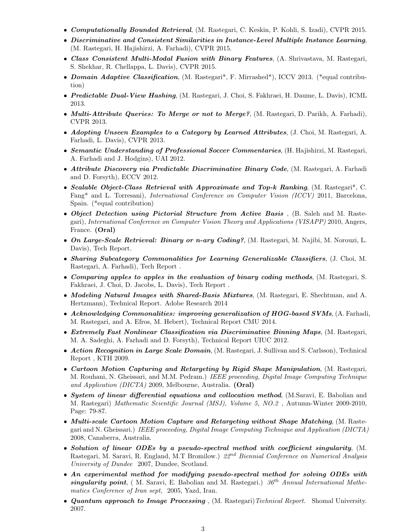- Computationally Bounded Retrieval, (M. Rastegari, C. Keskin, P. Kohli, S. Izadi), CVPR 2015.
- Discriminative and Consistent Similarities in Instance-Level Multiple Instance Learning, (M. Rastegari, H. Hajishirzi, A. Farhadi), CVPR 2015.
- Class Consistent Multi-Modal Fusion with Binary Features, (A. Shrivastava, M. Rastegari, S. Shekhar, R. Chellappa, L. Davis), CVPR 2015.
- Domain Adaptive Classification,  $(M.$  Rastegari\*, F. Mirrashed\*), ICCV 2013. (\*equal contribution)
- Predictable Dual-View Hashing, (M. Rastegari, J. Choi, S. Fakhraei, H. Daume, L. Davis), ICML 2013.
- Multi-Attribute Queries: To Merge or not to Merge?, (M. Rastegari, D. Parikh, A. Farhadi), CVPR 2013.
- Adopting Unseen Examples to a Category by Learned Attributes, (J. Choi, M. Rastegari, A. Farhadi, L. Davis), CVPR 2013.
- Semantic Understanding of Professional Soccer Commentaries, (H. Hajishirzi, M. Rastegari, A. Farhadi and J. Hodgins), UAI 2012.
- Attribute Discovery via Predictable Discriminative Binary Code, (M. Rastegari, A. Farhadi and D. Forsyth), ECCV 2012.
- Scalable Object-Class Retrieval with Approximate and Top-k Ranking, (M. Rastegari\*, C. Fang\* and L. Torresani), International Conference on Computer Vision (ICCV) 2011, Barcelona, Spain. (\*equal contribution)
- Object Detection using Pictorial Structure from Active Basis, (B. Saleh and M. Rastegari), International Conference on Computer Vision Theory and Applications (VISAPP) 2010, Angers, France. (Oral)
- On Large-Scale Retrieval: Binary or n-ary Coding?, (M. Rastegari, M. Najibi, M. Norouzi, L. Davis), Tech Report.
- Sharing Subcategory Commonalities for Learning Generalizable Classifiers, (J. Choi, M. Rastegari, A. Farhadi), Tech Report .
- Comparing apples to apples in the evaluation of binary coding methods, (M. Rastegari, S. Fakhraei, J. Choi, D. Jacobs, L. Davis), Tech Report .
- Modeling Natural Images with Shared-Basis Mixtures, (M. Rastegari, E. Shechtman, and A. Hertzmann), Technical Report. Adobe Research 2014
- Acknowledging Commonalities: improving generalization of HOG-based SVMs, (A. Farhadi, M. Rastegari, and A. Efros, M. Hebert), Technical Report CMU 2014.
- Extremely Fast Nonlinear Classification via Discriminative Binning Maps, (M. Rastegari, M. A. Sadeghi, A. Farhadi and D. Forsyth), Technical Report UIUC 2012.
- Action Recognition in Large Scale Domain, (M. Rastegari, J. Sullivan and S. Carlsson), Technical Report , KTH 2009.
- Cartoon Motion Capturing and Retargeting by Rigid Shape Manipulation, (M. Rastegari, M. Rouhani, N. Gheissari, and M.M. Pedram.) IEEE proceeding, Digital Image Computing Technique and Application (DICTA) 2009, Melbourne, Australia. (Oral)
- System of linear differential equations and collocation method, (M.Saravi, E. Babolian and M. Rastegari) Mathematic Scientific Journal (MSJ), Volume 5, NO.2 , Autumn-Winter 2009-2010, Page: 79-87.
- Multi-scale Cartoon Motion Capture and Retargeting without Shape Matching, (M. Rastegari and N. Gheissari.) IEEE proceeding, Digital Image Computing Technique and Application (DICTA) 2008, Canaberra, Australia.
- Solution of linear ODEs by a pseudo-spectral method with coefficient singularity, (M. Rastegari, M. Saravi, R. England, M.T Bromilow.) 22<sup>nd</sup> Biennial Conference on Numerical Analysis University of Dundee 2007, Dundee, Scotland.
- An experimental method for modifying pseudo-spectral method for solving ODEs with singularity point, (M. Saravi, E. Babolian and M. Rastegari.)  $36<sup>th</sup>$  Annual International Mathematics Conference of Iran sept, 2005, Yazd, Iran.
- Quantum approach to Image Processing, (M. Rastegari) Technical Report. Shomal University. 2007.